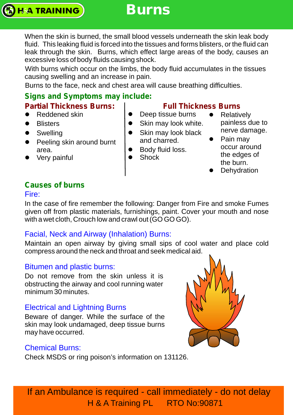# **Burns**

When the skin is burned, the small blood vessels underneath the skin leak body fluid. This leaking fluid is forced into the tissues and forms blisters, or the fluid can leak through the skin. Burns, which effect large areas of the body, causes an excessive loss of body fluids causing shock.

With burns which occur on the limbs, the body fluid accumulates in the tissues causing swelling and an increase in pain.

Burns to the face, neck and chest area will cause breathing difficulties.

# **Signs and Symptoms may include:**

- Reddened skin
- Blisters
- Swelling
- Peeling skin around burnt area.
- Very painful

# **Partial Thickness Burns: | Full Thickness Burns**

- Deep tissue burns
- Skin may look white. • Skin may look black
- and charred.
- Body fluid loss.
- Shock
- Relatively painless due to nerve damage.
- Pain may occur around the edges of the burn.
- Dehydration

# **Causes of burns**

### Fire:

In the case of fire remember the following: Danger from Fire and smoke Fumes given off from plastic materials, furnishings, paint. Cover your mouth and nose with a wet cloth, Crouch low and crawl out (GO GO GO).

# Facial, Neck and Airway (Inhalation) Burns:

Maintain an open airway by giving small sips of cool water and place cold compress around the neck and throat and seek medical aid.

# Bitumen and plastic burns:

Do not remove from the skin unless it is obstructing the airway and cool running water minimum 30 minutes.

# Electrical and Lightning Burns

Beware of danger. While the surface of the skin may look undamaged, deep tissue burns may have occurred.

# Chemical Burns:

Check MSDS or ring poison's information on 131126.

If an Ambulance is required - call immediately - do not delay H & A Training PL RTO No:90871